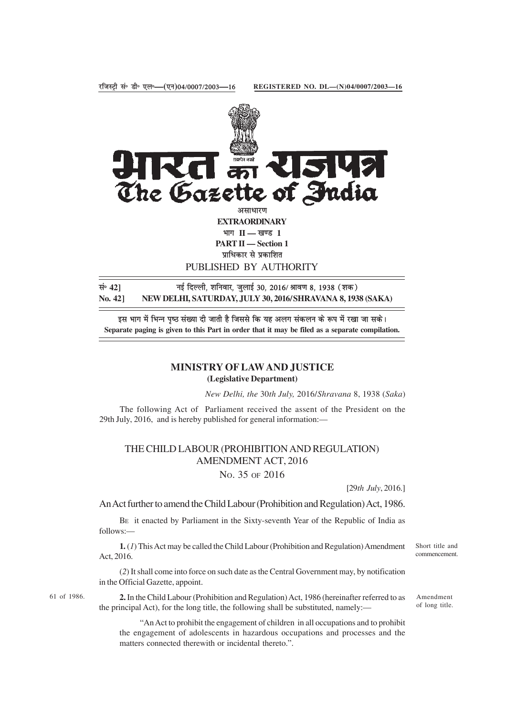

सं॰ 42] बई दिल्ली, शनिवार, जुलाई 30, 2016/ श्रावण 8, 1938 (शक) **No. 42] NEW DELHI, SATURDAY, JULY 30, 2016/SHRAVANA 8, 1938 (SAKA)**

इस भाग में भिन्न पष्ठ संख्या दी जाती है जिससे कि यह अलग संकलन के रूप में रखा जा सके। **Separate paging is given to this Part in order that it may be filed as a separate compilation.**

## **MINISTRY OF LAW AND JUSTICE (Legislative Department)**

*New Delhi, the* 30*th July,* 2016/*Shravana* 8, 1938 (*Saka*)

The following Act of Parliament received the assent of the President on the 29th July, 2016, and is hereby published for general information:—

## THE CHILD LABOUR (PROHIBITION AND REGULATION) AMENDMENT ACT, 2016

NO. 35 OF 2016

[29*th July*, 2016.]

An Act further to amend the Child Labour (Prohibition and Regulation) Act, 1986.

BE it enacted by Parliament in the Sixty-seventh Year of the Republic of India as follows:—

**1.** (*1*) This Act may be called the Child Labour (Prohibition and Regulation) Amendment Act, 2016.

(*2*) It shall come into force on such date as the Central Government may, by notification in the Official Gazette, appoint.

61 of 1986.

**2.** In the Child Labour (Prohibition and Regulation) Act, 1986 (hereinafter referred to as the principal Act), for the long title, the following shall be substituted, namely:—

"An Act to prohibit the engagement of children in all occupations and to prohibit the engagement of adolescents in hazardous occupations and processes and the matters connected therewith or incidental thereto.".

Short title and commencement.

Amendment of long title.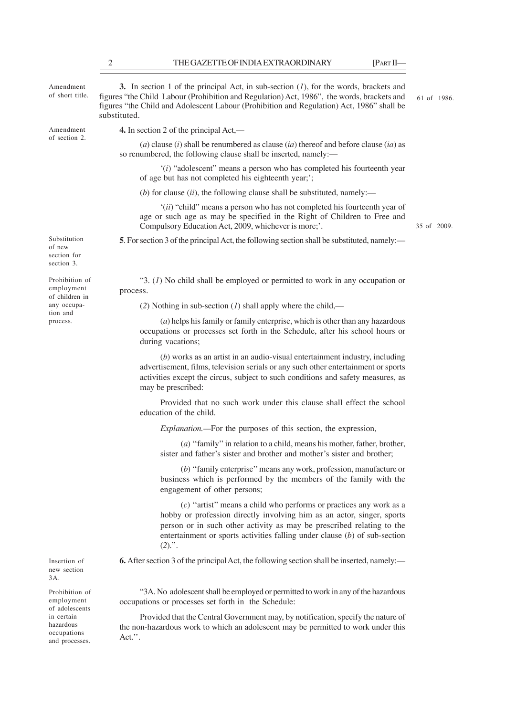2 THE GAZETTE OF INDIA EXTRAORDINARY [PART II— **3.** In section 1 of the principal Act, in sub-section (*1*), for the words, brackets and figures "the Child Labour (Prohibition and Regulation) Act, 1986", the words, brackets and figures "the Child and Adolescent Labour (Prohibition and Regulation) Act, 1986" shall be substituted. **4.** In section 2 of the principal Act,— (*a*) clause (*i*) shall be renumbered as clause (*ia*) thereof and before clause (*ia*) as so renumbered, the following clause shall be inserted, namely:— '(*i*) "adolescent" means a person who has completed his fourteenth year of age but has not completed his eighteenth year;'; (*b*) for clause (*ii*), the following clause shall be substituted, namely:— '(*ii*) "child" means a person who has not completed his fourteenth year of age or such age as may be specified in the Right of Children to Free and Compulsory Education Act, 2009, whichever is more;'. **5**. For section 3 of the principal Act, the following section shall be substituted, namely:— "3. (*1*) No child shall be employed or permitted to work in any occupation or process. (*2*) Nothing in sub-section (*1*) shall apply where the child,— (*a*) helps his family or family enterprise, which is other than any hazardous occupations or processes set forth in the Schedule, after his school hours or during vacations; (*b*) works as an artist in an audio-visual entertainment industry, including advertisement, films, television serials or any such other entertainment or sports activities except the circus, subject to such conditions and safety measures, as may be prescribed: Provided that no such work under this clause shall effect the school education of the child. *Explanation.—*For the purposes of this section, the expression, (*a*) ''family'' in relation to a child, means his mother, father, brother, Amendment of short title. Amendment of section 2. Substitution of new section for section 3. Prohibition of employment of children in any occupation and process. 61 of 1986. 35 of 2009.

sister and father's sister and brother and mother's sister and brother;

(*b*) ''family enterprise'' means any work, profession, manufacture or business which is performed by the members of the family with the engagement of other persons;

(*c*) ''artist'' means a child who performs or practices any work as a hobby or profession directly involving him as an actor, singer, sports person or in such other activity as may be prescribed relating to the entertainment or sports activities falling under clause (*b*) of sub-section  $(2)$ .".

**6.** After section 3 of the principal Act, the following section shall be inserted, namely:—

"3A. No adolescent shall be employed or permitted to work in any of the hazardous occupations or processes set forth in the Schedule:

Provided that the Central Government may, by notification, specify the nature of the non-hazardous work to which an adolescent may be permitted to work under this Act.''.

Insertion of new section 3A.

Prohibition of employment of adolescents in certain hazardous occupations and processes.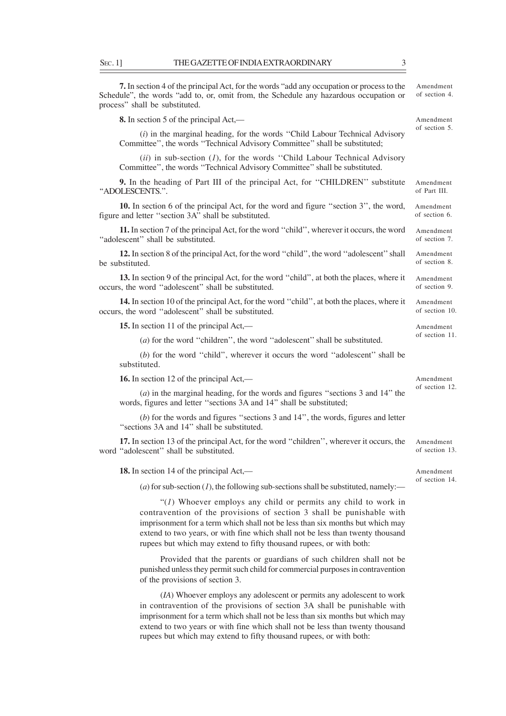**7.** In section 4 of the principal Act, for the words "add any occupation or process to the Schedule", the words "add to, or, omit from, the Schedule any hazardous occupation or process" shall be substituted.

**8.** In section 5 of the principal Act,—

(*i*) in the marginal heading, for the words ''Child Labour Technical Advisory Committee'', the words ''Technical Advisory Committee'' shall be substituted;

(*ii*) in sub-section (*1*), for the words ''Child Labour Technical Advisory Committee'', the words ''Technical Advisory Committee'' shall be substituted.

**9.** In the heading of Part III of the principal Act, for ''CHILDREN'' substitute ''ADOLESCENTS.''. Amendment of Part III.

**10.** In section 6 of the principal Act, for the word and figure ''section 3'', the word, figure and letter ''section 3A'' shall be substituted. Amendment of section 6.

**11.** In section 7 of the principal Act, for the word ''child'', wherever it occurs, the word "adolescent" shall be substituted. Amendment of section 7.

**12.** In section 8 of the principal Act, for the word ''child'', the word ''adolescent'' shall be substituted. Amendment of section 8.

**13.** In section 9 of the principal Act, for the word ''child'', at both the places, where it occurs, the word ''adolescent'' shall be substituted. Amendment of section 9.

**14.** In section 10 of the principal Act, for the word ''child'', at both the places, where it occurs, the word ''adolescent'' shall be substituted.

**15.** In section 11 of the principal Act,—

(*a*) for the word ''children'', the word ''adolescent'' shall be substituted.

(*b*) for the word ''child'', wherever it occurs the word ''adolescent'' shall be substituted.

**16.** In section 12 of the principal Act,—

(*a*) in the marginal heading, for the words and figures ''sections 3 and 14'' the words, figures and letter ''sections 3A and 14'' shall be substituted;

(*b*) for the words and figures ''sections 3 and 14'', the words, figures and letter ''sections 3A and 14'' shall be substituted.

**17.** In section 13 of the principal Act, for the word ''children'', wherever it occurs, the word ''adolescent'' shall be substituted.

**18.** In section 14 of the principal Act,—

 $(a)$  for sub-section  $(I)$ , the following sub-sections shall be substituted, namely:-

"(*1*) Whoever employs any child or permits any child to work in contravention of the provisions of section 3 shall be punishable with imprisonment for a term which shall not be less than six months but which may extend to two years, or with fine which shall not be less than twenty thousand rupees but which may extend to fifty thousand rupees, or with both:

Provided that the parents or guardians of such children shall not be punished unless they permit such child for commercial purposes in contravention of the provisions of section 3.

(*IA*) Whoever employs any adolescent or permits any adolescent to work in contravention of the provisions of section 3A shall be punishable with imprisonment for a term which shall not be less than six months but which may extend to two years or with fine which shall not be less than twenty thousand rupees but which may extend to fifty thousand rupees, or with both:

Amendment of section 4.

Amendment of section 5.

Amendment

Amendment of section 10. Amendment of section 11.

of section 12.

Amendment of section 13.

Amendment of section 14.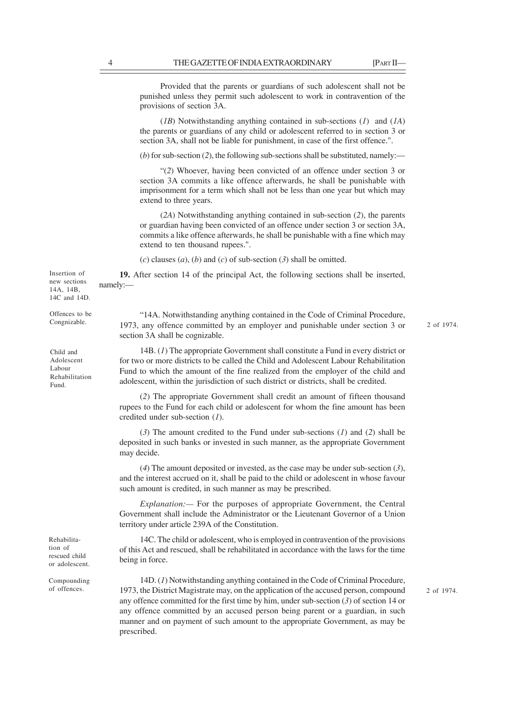Provided that the parents or guardians of such adolescent shall not be punished unless they permit such adolescent to work in contravention of the provisions of section 3A.

(*1B*) Notwithstanding anything contained in sub-sections (*1*) and (*1A*) the parents or guardians of any child or adolescent referred to in section 3 or section 3A, shall not be liable for punishment, in case of the first offence.".

 $(b)$  for sub-section (2), the following sub-sections shall be substituted, namely:—

"(*2*) Whoever, having been convicted of an offence under section 3 or section 3A commits a like offence afterwards, he shall be punishable with imprisonment for a term which shall not be less than one year but which may extend to three years.

(*2A*) Notwithstanding anything contained in sub-section (*2*), the parents or guardian having been convicted of an offence under section 3 or section 3A, commits a like offence afterwards, he shall be punishable with a fine which may extend to ten thousand rupees.".

 $(c)$  clauses  $(a)$ ,  $(b)$  and  $(c)$  of sub-section  $(3)$  shall be omitted.

**19.** After section 14 of the principal Act, the following sections shall be inserted, namely:—

"14A. Notwithstanding anything contained in the Code of Criminal Procedure, 1973, any offence committed by an employer and punishable under section 3 or section 3A shall be cognizable. 2 of 1974.

14B. (*1*) The appropriate Government shall constitute a Fund in every district or for two or more districts to be called the Child and Adolescent Labour Rehabilitation Fund to which the amount of the fine realized from the employer of the child and adolescent, within the jurisdiction of such district or districts, shall be credited.

(*2*) The appropriate Government shall credit an amount of fifteen thousand rupees to the Fund for each child or adolescent for whom the fine amount has been credited under sub-section (*1*).

(*3*) The amount credited to the Fund under sub-sections (*1*) and (*2*) shall be deposited in such banks or invested in such manner, as the appropriate Government may decide.

(*4*) The amount deposited or invested, as the case may be under sub-section (*3*), and the interest accrued on it, shall be paid to the child or adolescent in whose favour such amount is credited, in such manner as may be prescribed.

*Explanation:—* For the purposes of appropriate Government, the Central Government shall include the Administrator or the Lieutenant Governor of a Union territory under article 239A of the Constitution.

14C. The child or adolescent, who is employed in contravention of the provisions of this Act and rescued, shall be rehabilitated in accordance with the laws for the time being in force.

14D. (*1*) Notwithstanding anything contained in the Code of Criminal Procedure, of offences. 1973, the District Magistrate may, on the application of the accused person, compound 2 of 1974. any offence committed for the first time by him, under sub-section (*3*) of section 14 or any offence committed by an accused person being parent or a guardian, in such manner and on payment of such amount to the appropriate Government, as may be prescribed.

Insertion of new sections  $14A$ ,  $14B$ 14C and 14D.

Offences to be Congnizable.

Child and Adolescent Labour Rehabilitation Fund.

Rehabilitation of rescued child or adolescent.

Compounding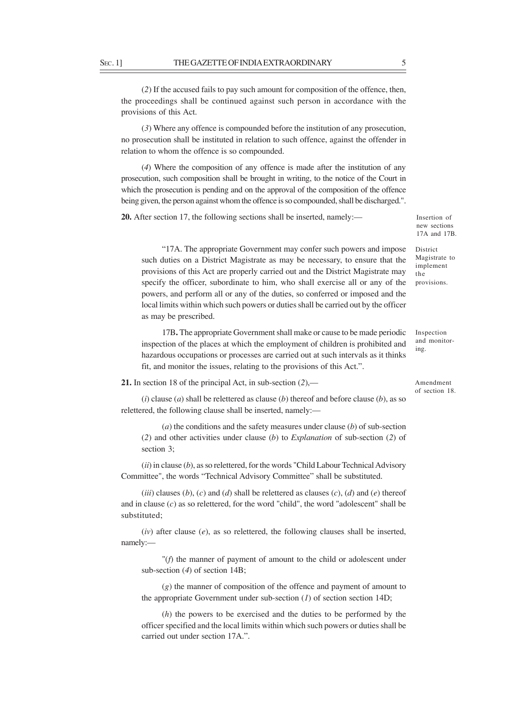(*2*) If the accused fails to pay such amount for composition of the offence, then, the proceedings shall be continued against such person in accordance with the provisions of this Act.

(*3*) Where any offence is compounded before the institution of any prosecution, no prosecution shall be instituted in relation to such offence, against the offender in relation to whom the offence is so compounded.

(*4*) Where the composition of any offence is made after the institution of any prosecution, such composition shall be brought in writing, to the notice of the Court in which the prosecution is pending and on the approval of the composition of the offence being given, the person against whom the offence is so compounded, shall be discharged.".

**20.** After section 17, the following sections shall be inserted, namely:—

Insertion of new sections 17A and 17B.

"17A. The appropriate Government may confer such powers and impose such duties on a District Magistrate as may be necessary, to ensure that the provisions of this Act are properly carried out and the District Magistrate may specify the officer, subordinate to him, who shall exercise all or any of the powers, and perform all or any of the duties, so conferred or imposed and the local limits within which such powers or duties shall be carried out by the officer as may be prescribed. District Magistrate to implement the provisions.

17B**.** The appropriate Government shall make or cause to be made periodic inspection of the places at which the employment of children is prohibited and hazardous occupations or processes are carried out at such intervals as it thinks fit, and monitor the issues, relating to the provisions of this Act.".

**21.** In section 18 of the principal Act, in sub-section (*2*),—

Amendment of section 18.

Inspection and monitoring.

(*i*) clause (*a*) shall be relettered as clause (*b*) thereof and before clause (*b*), as so relettered, the following clause shall be inserted, namely:—

(*a*) the conditions and the safety measures under clause (*b*) of sub-section (*2*) and other activities under clause (*b*) to *Explanation* of sub-section (*2*) of section 3;

(*ii*) in clause (*b*), as so relettered, for the words "Child Labour Technical Advisory Committee", the words "Technical Advisory Committee" shall be substituted.

(*iii*) clauses (*b*), (*c*) and (*d*) shall be relettered as clauses (*c*), (*d*) and (*e*) thereof and in clause (*c*) as so relettered, for the word "child", the word "adolescent" shall be substituted;

 $(iv)$  after clause  $(e)$ , as so relettered, the following clauses shall be inserted, namely:—

"(*f*) the manner of payment of amount to the child or adolescent under sub-section (*4*) of section 14B;

(*g*) the manner of composition of the offence and payment of amount to the appropriate Government under sub-section  $(I)$  of section section 14D;

(*h*) the powers to be exercised and the duties to be performed by the officer specified and the local limits within which such powers or duties shall be carried out under section 17A.".